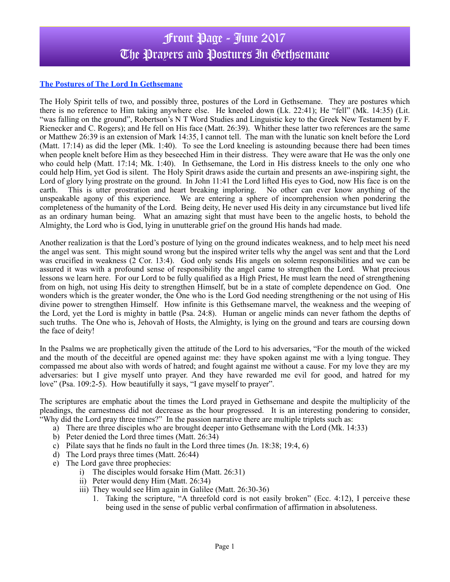# Front Page - June 2017 The Prayers and Postures In Gethsemane

### **The Postures of The Lord In Gethsemane**

The Holy Spirit tells of two, and possibly three, postures of the Lord in Gethsemane. They are postures which there is no reference to Him taking anywhere else. He kneeled down (Lk. 22:41); He "fell" (Mk. 14:35) (Lit. "was falling on the ground", Robertson's N T Word Studies and Linguistic key to the Greek New Testament by F. Rienecker and C. Rogers); and He fell on His face (Matt. 26:39). Whither these latter two references are the same or Matthew 26:39 is an extension of Mark 14:35, I cannot tell. The man with the lunatic son knelt before the Lord (Matt. 17:14) as did the leper (Mk. 1:40). To see the Lord kneeling is astounding because there had been times when people knelt before Him as they beseeched Him in their distress. They were aware that He was the only one who could help (Matt. 17:14; Mk. 1:40). In Gethsemane, the Lord in His distress kneels to the only one who could help Him, yet God is silent. The Holy Spirit draws aside the curtain and presents an awe-inspiring sight, the Lord of glory lying prostrate on the ground. In John 11:41 the Lord lifted His eyes to God, now His face is on the earth. This is utter prostration and heart breaking imploring. No other can ever know anything of the unspeakable agony of this experience. We are entering a sphere of incomprehension when pondering the completeness of the humanity of the Lord.Being deity, He never used His deity in any circumstance but lived life as an ordinary human being. What an amazing sight that must have been to the angelic hosts, to behold the Almighty, the Lord who is God, lying in unutterable grief on the ground His hands had made.

Another realization is that the Lord's posture of lying on the ground indicates weakness, and to help meet his need the angel was sent. This might sound wrong but the inspired writer tells why the angel was sent and that the Lord was crucified in weakness (2 Cor. 13:4). God only sends His angels on solemn responsibilities and we can be assured it was with a profound sense of responsibility the angel came to strengthen the Lord. What precious lessons we learn here. For our Lord to be fully qualified as a High Priest, He must learn the need of strengthening from on high, not using His deity to strengthen Himself, but be in a state of complete dependence on God. One wonders which is the greater wonder, the One who is the Lord God needing strengthening or the not using of His divine power to strengthen Himself. How infinite is this Gethsemane marvel, the weakness and the weeping of the Lord, yet the Lord is mighty in battle (Psa. 24:8). Human or angelic minds can never fathom the depths of such truths. The One who is, Jehovah of Hosts, the Almighty, is lying on the ground and tears are coursing down the face of deity!

In the Psalms we are prophetically given the attitude of the Lord to his adversaries, "For the mouth of the wicked and the mouth of the deceitful are opened against me: they have spoken against me with a lying tongue. They compassed me about also with words of hatred; and fought against me without a cause. For my love they are my adversaries: but I give myself unto prayer. And they have rewarded me evil for good, and hatred for my love" (Psa. 109:2-5). How beautifully it says, "I gave myself to prayer".

The scriptures are emphatic about the times the Lord prayed in Gethsemane and despite the multiplicity of the pleadings, the earnestness did not decrease as the hour progressed. It is an interesting pondering to consider, "Why did the Lord pray three times?" In the passion narrative there are multiple triplets such as:

- a) There are three disciples who are brought deeper into Gethsemane with the Lord (Mk. 14:33)
- b) Peter denied the Lord three times (Matt. 26:34)
- c) Pilate says that he finds no fault in the Lord three times (Jn. 18:38; 19:4, 6)
- d) The Lord prays three times (Matt. 26:44)
- e) The Lord gave three prophecies:
	- i) The disciples would forsake Him (Matt. 26:31)
	- ii) Peter would deny Him (Matt. 26:34)
	- iii) They would see Him again in Galilee (Matt. 26:30-36)
		- 1. Taking the scripture, "A threefold cord is not easily broken" (Ecc. 4:12), I perceive these being used in the sense of public verbal confirmation of affirmation in absoluteness.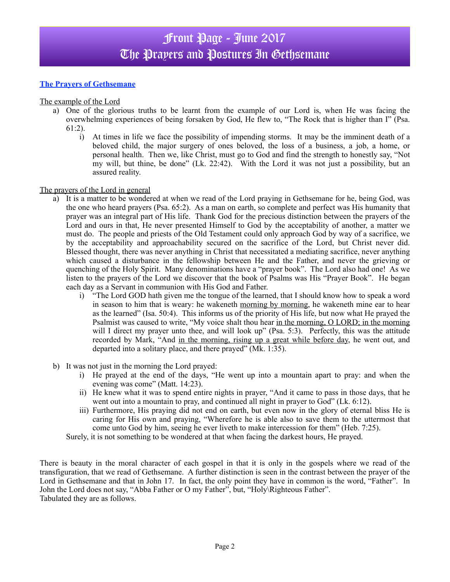## **The Prayers of Gethsemane**

The example of the Lord

- a) One of the glorious truths to be learnt from the example of our Lord is, when He was facing the overwhelming experiences of being forsaken by God, He flew to, "The Rock that is higher than I" (Psa. 61:2).
	- i) At times in life we face the possibility of impending storms. It may be the imminent death of a beloved child, the major surgery of ones beloved, the loss of a business, a job, a home, or personal health. Then we, like Christ, must go to God and find the strength to honestly say, "Not my will, but thine, be done" (Lk. 22:42). With the Lord it was not just a possibility, but an assured reality.

#### The prayers of the Lord in general

- a) It is a matter to be wondered at when we read of the Lord praying in Gethsemane for he, being God, was the one who heard prayers (Psa. 65:2). As a man on earth, so complete and perfect was His humanity that prayer was an integral part of His life. Thank God for the precious distinction between the prayers of the Lord and ours in that, He never presented Himself to God by the acceptability of another, a matter we must do. The people and priests of the Old Testament could only approach God by way of a sacrifice, we by the acceptability and approachability secured on the sacrifice of the Lord, but Christ never did. Blessed thought, there was never anything in Christ that necessitated a mediating sacrifice, never anything which caused a disturbance in the fellowship between He and the Father, and never the grieving or quenching of the Holy Spirit. Many denominations have a "prayer book". The Lord also had one! As we listen to the prayers of the Lord we discover that the book of Psalms was His "Prayer Book". He began each day as a Servant in communion with His God and Father.
	- i) "The Lord GOD hath given me the tongue of the learned, that I should know how to speak a word in season to him that is weary: he wakeneth morning by morning, he wakeneth mine ear to hear as the learned" (Isa. 50:4). This informs us of the priority of His life, but now what He prayed the Psalmist was caused to write, "My voice shalt thou hear in the morning, O LORD; in the morning will I direct my prayer unto thee, and will look up" (Psa. 5:3). Perfectly, this was the attitude recorded by Mark, "And in the morning, rising up a great while before day, he went out, and departed into a solitary place, and there prayed" (Mk. 1:35).
- b) It was not just in the morning the Lord prayed:
	- i) He prayed at the end of the days, "He went up into a mountain apart to pray: and when the evening was come" (Matt. 14:23).
	- ii) He knew what it was to spend entire nights in prayer, "And it came to pass in those days, that he went out into a mountain to pray, and continued all night in prayer to God" (Lk. 6:12).
	- iii) Furthermore, His praying did not end on earth, but even now in the glory of eternal bliss He is caring for His own and praying, "Wherefore he is able also to save them to the uttermost that come unto God by him, seeing he ever liveth to make intercession for them" (Heb. 7:25).

Surely, it is not something to be wondered at that when facing the darkest hours, He prayed.

There is beauty in the moral character of each gospel in that it is only in the gospels where we read of the transfiguration, that we read of Gethsemane. A further distinction is seen in the contrast between the prayer of the Lord in Gethsemane and that in John 17. In fact, the only point they have in common is the word, "Father". In John the Lord does not say, "Abba Father or O my Father", but, "Holy\Righteous Father". Tabulated they are as follows.